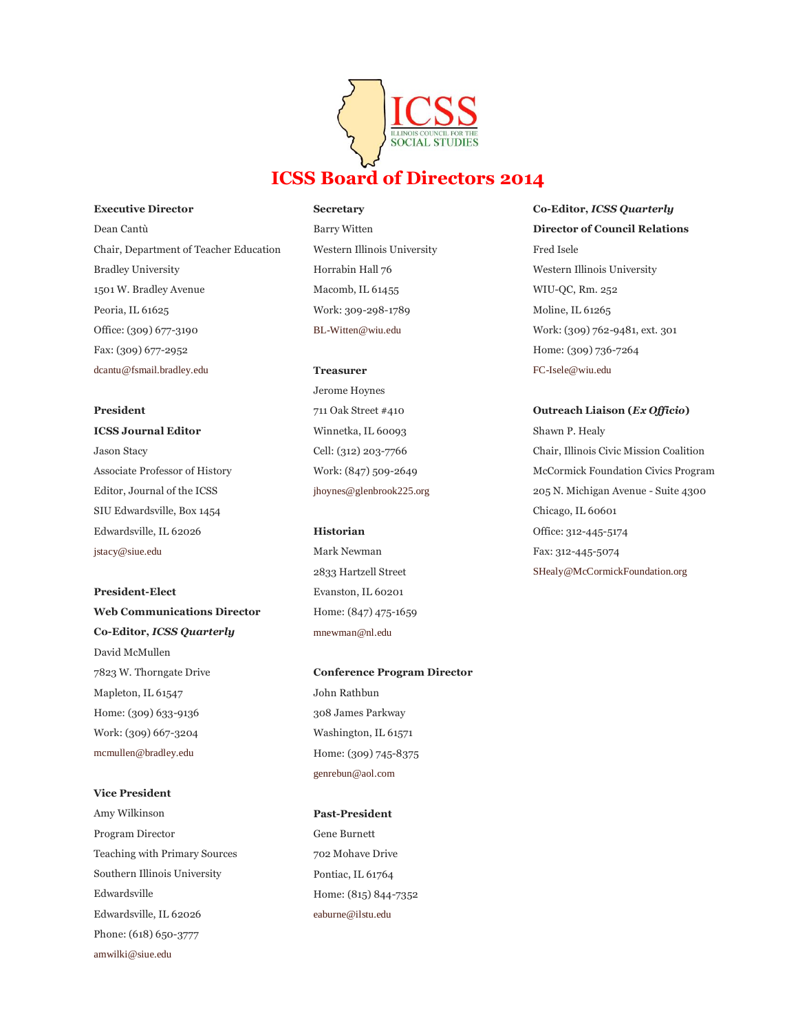

#### **Executive Director**

Dean Cantù Chair, Department of Teacher Education Bradley University 1501 W. Bradley Avenue Peoria, IL 61625 Office: (309) 677-3190 Fax: (309) 677-2952 [dcantu@fsmail.bradley.edu](mailto:dcantu@fsmail.bradley.edu)

# **President**

**ICSS Journal Editor** Jason Stacy Associate Professor of History Editor, Journal of the ICSS SIU Edwardsville, Box 1454 Edwardsville, IL 62026 [jstacy@siue.edu](mailto:jstacy@siue.edu)

**President-Elect Web Communications Director Co-Editor,** *ICSS Quarterly* David McMullen 7823 W. Thorngate Drive Mapleton, IL 61547 Home: (309) 633-9136 Work: (309) 667-3204 [mcmullen@bradley.edu](mailto:mcmullen@bradley.edu)

## **Vice President**

Amy Wilkinson Program Director Teaching with Primary Sources Southern Illinois University Edwardsville Edwardsville, IL 62026 Phone: (618) 650-3777 [amwilki@siue.edu](mailto:amwilki@siue.edu)

**Secretary** Barry Witten Western Illinois University Horrabin Hall 76 Macomb, IL 61455 Work: 309-298-1789 [BL-Witten@wiu.edu](mailto:jhoynes@glenbrook225.org)

### **Treasurer**

Jerome Hoynes 711 Oak Street #410 Winnetka, IL 60093 Cell: (312) 203-7766 Work: (847) 509-2649 [jhoynes@glenbrook225.org](mailto:jhoynes@glenbrook225.org)

### **Historian**

Mark Newman 2833 Hartzell Street Evanston, IL 60201 Home: (847) 475-1659 [mnewman@nl.edu](mailto:mnewman@nl.edu)

**Conference Program Director** John Rathbun 308 James Parkway Washington, IL 61571 Home: (309) 745-8375 [genrebun@aol.com](mailto:genrebun@aol.com)

# **Past-President**

Gene Burnett 702 Mohave Drive Pontiac, IL 61764 Home: (815) 844-7352 [eaburne@ilstu.edu](mailto:eaburne@ilstu.edu)

**Co-Editor,** *ICSS Quarterly* **Director of Council Relations** Fred Isele Western Illinois University WIU-QC, Rm. 252 Moline, IL 61265 Work: (309) 762-9481, ext. 301 Home: (309) 736-7264 [FC-Isele@wiu.edu](mailto:FC-Isele@wiu.edu)

# **Outreach Liaison (***Ex Officio***)** Shawn P. Healy Chair, Illinois Civic Mission Coalition McCormick Foundation Civics Program 205 N. Michigan Avenue - Suite 4300 Chicago, IL 60601 Office: 312-445-5174

Fax: 312-445-5074 [SHealy@McCormickFoundation.org](mailto:SHealy@McCormickFoundation.org)